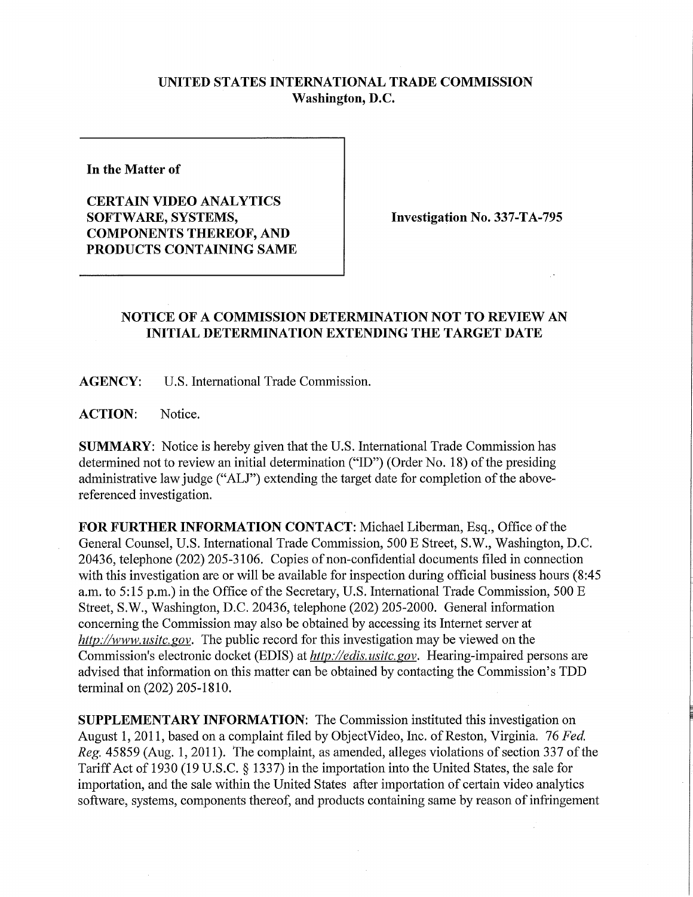## **UNITED STATES INTERNATIONAL TRADE COMMISSION Washington, D.C.**

**In the Matter of** 

**CERTAIN VIDEO ANALYTICS SOFTWARE, SYSTEMS, COMPONENTS THEREOF, AND PRODUCTS CONTAINING SAME** 

**Investigation No. 337-TA-795** 

## **NOTICE OF A COMMISSION DETERMINATION NOT TO REVIEW AN INITIAL DETERMINATION EXTENDING THE TARGET DATE**

**AGENCY:** U.S. International Trade Commission.

**ACTION:** Notice.

**SUMMARY:** Notice is hereby given that the U.S. International Trade Commission has determined not to review an initial determination ("ID") (Order No. 18) of the presiding administrative law judge ("ALJ") extending the target date for completion of the abovereferenced investigation.

FOR FURTHER INFORMATION CONTACT: Michael Liberman, Esq., Office of the General Counsel, U.S. International Trade Commission, 500 E Street, S.W., Washington, D.C. 20436, telephone (202) 205-3106. Copies of non-confidential documents filed in connection with this investigation are or will be available for inspection during official business hours (8:45) a.m. to 5:15 p.m.) in the Office of the Secretary, U.S. Intemational Trade Commission, 500 E Street, S.W., Washington, D.C. 20436, telephone (202) 205-2000. General information concerning the Commission may also be obtained by accessing its Internet server at *http://www. usitc. gov.* The public record for this investigation may be viewed on the Commission's electronic docket (EDIS) at *http://edis. usitc. gov.* Hearing-impaired persons are advised that information on this matter can be obtained by contacting the Commission's TDD **terminal** on (202) 205-1810.

**SUPPLEMENTARY INFORMATION:** The Commission instituted this investigation on August 1, 2011, based on a complaint filed by ObjectVideo, Inc. of Reston, Virginia. 76 *Fed. Reg.* 45859 (Aug. 1,2011). The complaint, as amended, alleges violations of section 337 of the Tariff Act of 1930 (19 U.S.C. § 1337) in the importation into the United States, the sale for importation, and the sale within the United States after importation of certain video analytics software, systems, components thereof, and products containing same by reason of infringement